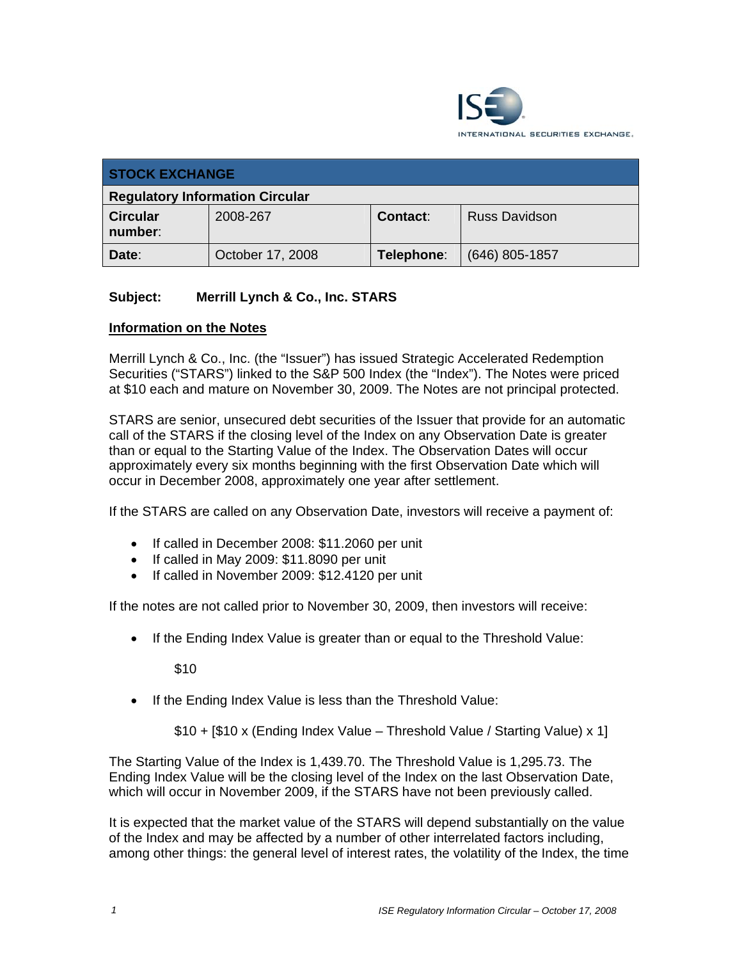

| <b>STOCK EXCHANGE</b>                  |                  |            |                      |  |
|----------------------------------------|------------------|------------|----------------------|--|
| <b>Regulatory Information Circular</b> |                  |            |                      |  |
| <b>Circular</b><br>number:             | 2008-267         | Contact:   | <b>Russ Davidson</b> |  |
| Date:                                  | October 17, 2008 | Telephone: | $(646)$ 805-1857     |  |

## **Subject: Merrill Lynch & Co., Inc. STARS**

## **Information on the Notes**

Merrill Lynch & Co., Inc. (the "Issuer") has issued Strategic Accelerated Redemption Securities ("STARS") linked to the S&P 500 Index (the "Index"). The Notes were priced at \$10 each and mature on November 30, 2009. The Notes are not principal protected.

STARS are senior, unsecured debt securities of the Issuer that provide for an automatic call of the STARS if the closing level of the Index on any Observation Date is greater than or equal to the Starting Value of the Index. The Observation Dates will occur approximately every six months beginning with the first Observation Date which will occur in December 2008, approximately one year after settlement.

If the STARS are called on any Observation Date, investors will receive a payment of:

- If called in December 2008: \$11.2060 per unit
- If called in May 2009: \$11.8090 per unit
- If called in November 2009: \$12.4120 per unit

If the notes are not called prior to November 30, 2009, then investors will receive:

• If the Ending Index Value is greater than or equal to the Threshold Value:

\$10

• If the Ending Index Value is less than the Threshold Value:

\$10 + [\$10 x (Ending Index Value – Threshold Value / Starting Value) x 1]

The Starting Value of the Index is 1,439.70. The Threshold Value is 1,295.73. The Ending Index Value will be the closing level of the Index on the last Observation Date, which will occur in November 2009, if the STARS have not been previously called.

It is expected that the market value of the STARS will depend substantially on the value of the Index and may be affected by a number of other interrelated factors including, among other things: the general level of interest rates, the volatility of the Index, the time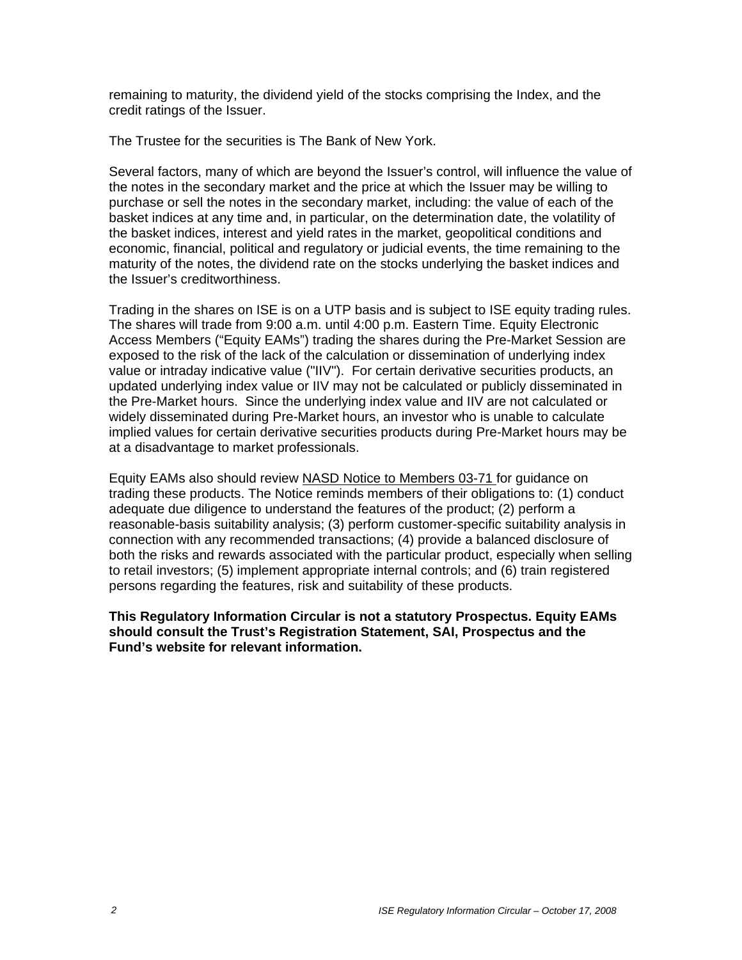remaining to maturity, the dividend yield of the stocks comprising the Index, and the credit ratings of the Issuer.

The Trustee for the securities is The Bank of New York.

Several factors, many of which are beyond the Issuer's control, will influence the value of the notes in the secondary market and the price at which the Issuer may be willing to purchase or sell the notes in the secondary market, including: the value of each of the basket indices at any time and, in particular, on the determination date, the volatility of the basket indices, interest and yield rates in the market, geopolitical conditions and economic, financial, political and regulatory or judicial events, the time remaining to the maturity of the notes, the dividend rate on the stocks underlying the basket indices and the Issuer's creditworthiness.

Trading in the shares on ISE is on a UTP basis and is subject to ISE equity trading rules. The shares will trade from 9:00 a.m. until 4:00 p.m. Eastern Time. Equity Electronic Access Members ("Equity EAMs") trading the shares during the Pre-Market Session are exposed to the risk of the lack of the calculation or dissemination of underlying index value or intraday indicative value ("IIV"). For certain derivative securities products, an updated underlying index value or IIV may not be calculated or publicly disseminated in the Pre-Market hours. Since the underlying index value and IIV are not calculated or widely disseminated during Pre-Market hours, an investor who is unable to calculate implied values for certain derivative securities products during Pre-Market hours may be at a disadvantage to market professionals.

Equity EAMs also should review NASD Notice to Members 03-71 for guidance on trading these products. The Notice reminds members of their obligations to: (1) conduct adequate due diligence to understand the features of the product; (2) perform a reasonable-basis suitability analysis; (3) perform customer-specific suitability analysis in connection with any recommended transactions; (4) provide a balanced disclosure of both the risks and rewards associated with the particular product, especially when selling to retail investors; (5) implement appropriate internal controls; and (6) train registered persons regarding the features, risk and suitability of these products.

**This Regulatory Information Circular is not a statutory Prospectus. Equity EAMs should consult the Trust's Registration Statement, SAI, Prospectus and the Fund's website for relevant information.**